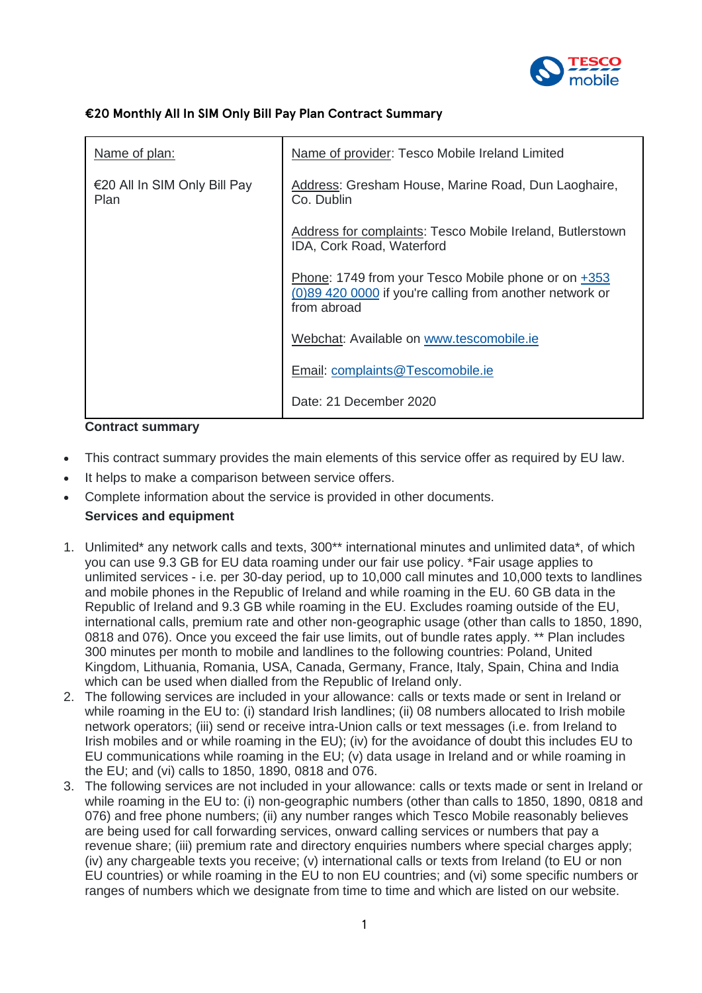

# **€20 Monthly All In SIM Only Bill Pay Plan Contract Summary**

| Name of plan:                        | Name of provider: Tesco Mobile Ireland Limited                                                                                 |
|--------------------------------------|--------------------------------------------------------------------------------------------------------------------------------|
| €20 All In SIM Only Bill Pay<br>Plan | Address: Gresham House, Marine Road, Dun Laoghaire,<br>Co. Dublin                                                              |
|                                      | Address for complaints: Tesco Mobile Ireland, Butlerstown<br>IDA, Cork Road, Waterford                                         |
|                                      | Phone: 1749 from your Tesco Mobile phone or on +353<br>(0)89 420 0000 if you're calling from another network or<br>from abroad |
|                                      | Webchat: Available on www.tescomobile.ie                                                                                       |
|                                      | Email: complaints@Tescomobile.ie                                                                                               |
|                                      | Date: 21 December 2020                                                                                                         |

### **Contract summary**

- This contract summary provides the main elements of this service offer as required by EU law.
- It helps to make a comparison between service offers.
- Complete information about the service is provided in other documents.

# **Services and equipment**

- 1. Unlimited\* any network calls and texts, 300\*\* international minutes and unlimited data\*, of which you can use 9.3 GB for EU data roaming under our fair use policy. \*Fair usage applies to unlimited services - i.e. per 30-day period, up to 10,000 call minutes and 10,000 texts to landlines and mobile phones in the Republic of Ireland and while roaming in the EU. 60 GB data in the Republic of Ireland and 9.3 GB while roaming in the EU. Excludes roaming outside of the EU, international calls, premium rate and other non-geographic usage (other than calls to 1850, 1890, 0818 and 076). Once you exceed the fair use limits, out of bundle rates apply. \*\* Plan includes 300 minutes per month to mobile and landlines to the following countries: Poland, United Kingdom, Lithuania, Romania, USA, Canada, Germany, France, Italy, Spain, China and India which can be used when dialled from the Republic of Ireland only.
- 2. The following services are included in your allowance: calls or texts made or sent in Ireland or while roaming in the EU to: (i) standard Irish landlines; (ii) 08 numbers allocated to Irish mobile network operators; (iii) send or receive intra-Union calls or text messages (i.e. from Ireland to Irish mobiles and or while roaming in the EU); (iv) for the avoidance of doubt this includes EU to EU communications while roaming in the EU; (v) data usage in Ireland and or while roaming in the EU; and (vi) calls to 1850, 1890, 0818 and 076.
- 3. The following services are not included in your allowance: calls or texts made or sent in Ireland or while roaming in the EU to: (i) non-geographic numbers (other than calls to 1850, 1890, 0818 and 076) and free phone numbers; (ii) any number ranges which Tesco Mobile reasonably believes are being used for call forwarding services, onward calling services or numbers that pay a revenue share; (iii) premium rate and directory enquiries numbers where special charges apply; (iv) any chargeable texts you receive; (v) international calls or texts from Ireland (to EU or non EU countries) or while roaming in the EU to non EU countries; and (vi) some specific numbers or ranges of numbers which we designate from time to time and which are listed on our website.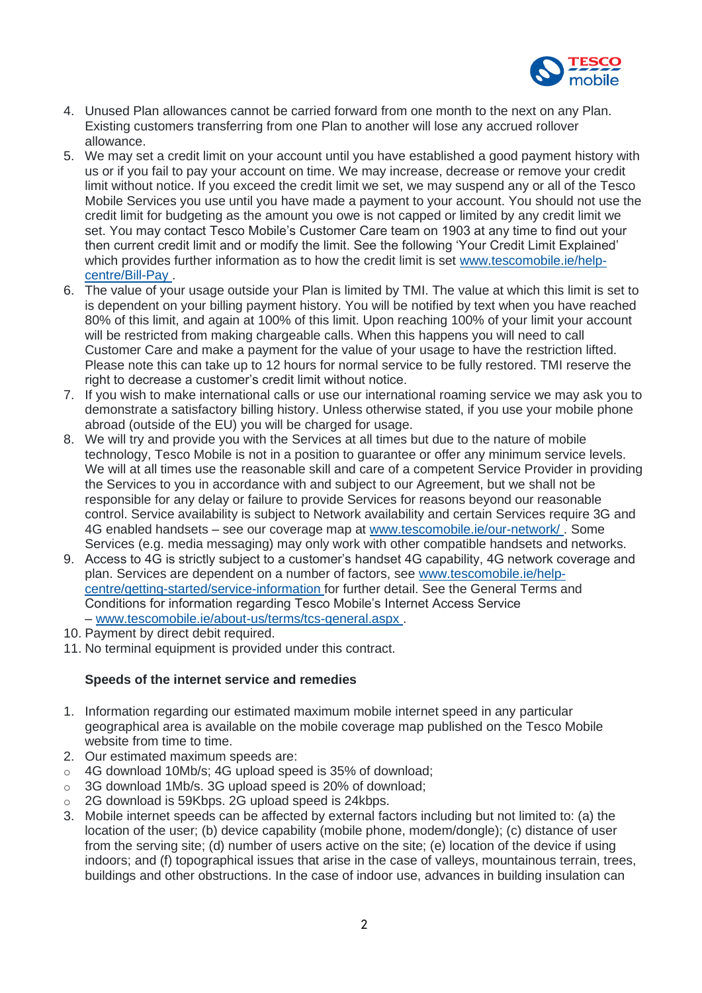

- 4. Unused Plan allowances cannot be carried forward from one month to the next on any Plan. Existing customers transferring from one Plan to another will lose any accrued rollover allowance.
- 5. We may set a credit limit on your account until you have established a good payment history with us or if you fail to pay your account on time. We may increase, decrease or remove your credit limit without notice. If you exceed the credit limit we set, we may suspend any or all of the Tesco Mobile Services you use until you have made a payment to your account. You should not use the credit limit for budgeting as the amount you owe is not capped or limited by any credit limit we set. You may contact Tesco Mobile's Customer Care team on 1903 at any time to find out your then current credit limit and or modify the limit. See the following 'Your Credit Limit Explained' which provides further information as to how the credit limit is set [www.tescomobile.ie/help](https://www.tescomobile.ie/help-centre/Bill-Pay)[centre/Bill-Pay](https://www.tescomobile.ie/help-centre/Bill-Pay) .
- 6. The value of your usage outside your Plan is limited by TMI. The value at which this limit is set to is dependent on your billing payment history. You will be notified by text when you have reached 80% of this limit, and again at 100% of this limit. Upon reaching 100% of your limit your account will be restricted from making chargeable calls. When this happens you will need to call Customer Care and make a payment for the value of your usage to have the restriction lifted. Please note this can take up to 12 hours for normal service to be fully restored. TMI reserve the right to decrease a customer's credit limit without notice.
- 7. If you wish to make international calls or use our international roaming service we may ask you to demonstrate a satisfactory billing history. Unless otherwise stated, if you use your mobile phone abroad (outside of the EU) you will be charged for usage.
- 8. We will try and provide you with the Services at all times but due to the nature of mobile technology, Tesco Mobile is not in a position to guarantee or offer any minimum service levels. We will at all times use the reasonable skill and care of a competent Service Provider in providing the Services to you in accordance with and subject to our Agreement, but we shall not be responsible for any delay or failure to provide Services for reasons beyond our reasonable control. Service availability is subject to Network availability and certain Services require 3G and 4G enabled handsets – see our coverage map at [www.tescomobile.ie/our-network/](https://www.tescomobile.ie/our-network/) . Some Services (e.g. media messaging) may only work with other compatible handsets and networks.
- 9. Access to 4G is strictly subject to a customer's handset 4G capability, 4G network coverage and plan. Services are dependent on a number of factors, see [www.tescomobile.ie/help](https://www.tescomobile.ie/help-centre/getting-started/service-information)[centre/getting-started/service-information](https://www.tescomobile.ie/help-centre/getting-started/service-information) for further detail. See the General Terms and Conditions for information regarding Tesco Mobile's Internet Access Service – [www.tescomobile.ie/about-us/terms/tcs-general.aspx](https://www.tescomobile.ie/about-us/terms/tcs-general.aspx) .
- 10. Payment by direct debit required.
- 11. No terminal equipment is provided under this contract.

## **Speeds of the internet service and remedies**

- 1. Information regarding our estimated maximum mobile internet speed in any particular geographical area is available on the mobile coverage map published on the Tesco Mobile website from time to time.
- 2. Our estimated maximum speeds are:
- o 4G download 10Mb/s; 4G upload speed is 35% of download;
- o 3G download 1Mb/s. 3G upload speed is 20% of download;
- o 2G download is 59Kbps. 2G upload speed is 24kbps.
- 3. Mobile internet speeds can be affected by external factors including but not limited to: (a) the location of the user; (b) device capability (mobile phone, modem/dongle); (c) distance of user from the serving site; (d) number of users active on the site; (e) location of the device if using indoors; and (f) topographical issues that arise in the case of valleys, mountainous terrain, trees, buildings and other obstructions. In the case of indoor use, advances in building insulation can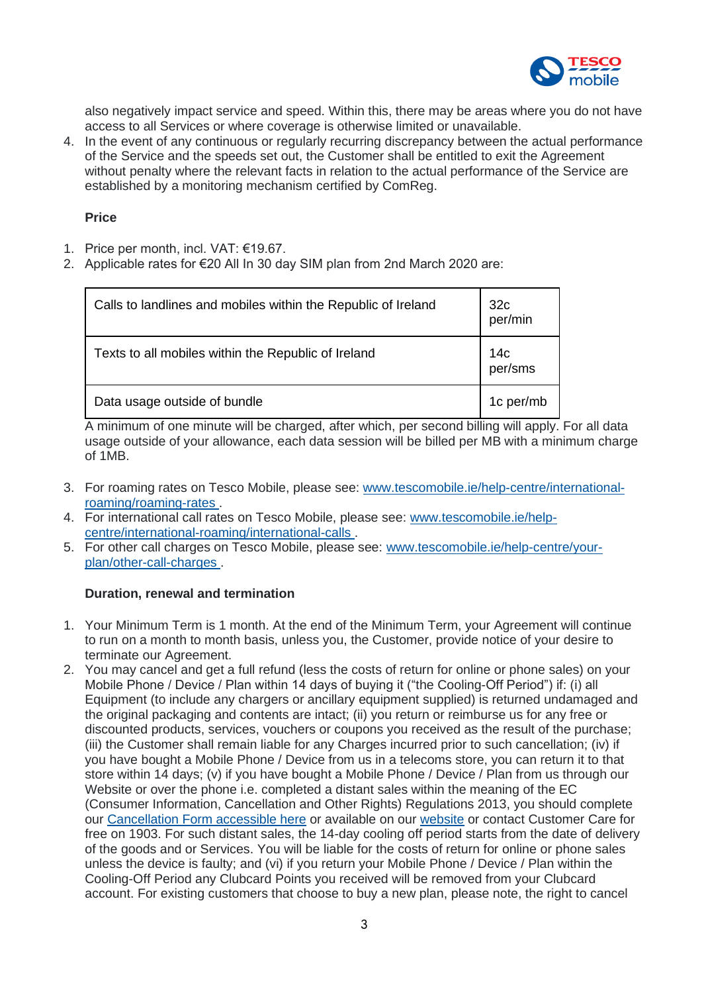

also negatively impact service and speed. Within this, there may be areas where you do not have access to all Services or where coverage is otherwise limited or unavailable.

4. In the event of any continuous or regularly recurring discrepancy between the actual performance of the Service and the speeds set out, the Customer shall be entitled to exit the Agreement without penalty where the relevant facts in relation to the actual performance of the Service are established by a monitoring mechanism certified by ComReg.

## **Price**

- 1. Price per month, incl. VAT: €19.67.
- 2. Applicable rates for €20 All In 30 day SIM plan from 2nd March 2020 are:

| Calls to landlines and mobiles within the Republic of Ireland | 32c<br>per/min |
|---------------------------------------------------------------|----------------|
| Texts to all mobiles within the Republic of Ireland           | 14с<br>per/sms |
| Data usage outside of bundle                                  | 1c per/mb      |

A minimum of one minute will be charged, after which, per second billing will apply. For all data usage outside of your allowance, each data session will be billed per MB with a minimum charge of 1MB.

- 3. For roaming rates on Tesco Mobile, please see: [www.tescomobile.ie/help-centre/international](https://www.tescomobile.ie/help-centre/international-roaming/roaming-rates)[roaming/roaming-rates](https://www.tescomobile.ie/help-centre/international-roaming/roaming-rates) .
- 4. For international call rates on Tesco Mobile, please see: [www.tescomobile.ie/help](https://www.tescomobile.ie/help-centre/international-roaming/international-calls)[centre/international-roaming/international-calls](https://www.tescomobile.ie/help-centre/international-roaming/international-calls) .
- 5. For other call charges on Tesco Mobile, please see: [www.tescomobile.ie/help-centre/your](https://www.tescomobile.ie/help-centre/your-plan/other-call-charges)[plan/other-call-charges](https://www.tescomobile.ie/help-centre/your-plan/other-call-charges) .

## **Duration, renewal and termination**

- 1. Your Minimum Term is 1 month. At the end of the Minimum Term, your Agreement will continue to run on a month to month basis, unless you, the Customer, provide notice of your desire to terminate our Agreement.
- 2. You may cancel and get a full refund (less the costs of return for online or phone sales) on your Mobile Phone / Device / Plan within 14 days of buying it ("the Cooling-Off Period") if: (i) all Equipment (to include any chargers or ancillary equipment supplied) is returned undamaged and the original packaging and contents are intact; (ii) you return or reimburse us for any free or discounted products, services, vouchers or coupons you received as the result of the purchase; (iii) the Customer shall remain liable for any Charges incurred prior to such cancellation; (iv) if you have bought a Mobile Phone / Device from us in a telecoms store, you can return it to that store within 14 days; (v) if you have bought a Mobile Phone / Device / Plan from us through our Website or over the phone i.e. completed a distant sales within the meaning of the EC (Consumer Information, Cancellation and Other Rights) Regulations 2013, you should complete our [Cancellation Form accessible here](https://www.tescomobile.ie/about-us/terms/TMI_Cancellation_Form.pdf) or available on our [website](https://www.tescomobile.ie/about-us/terms/tcs-general.aspx) or contact Customer Care for free on 1903. For such distant sales, the 14-day cooling off period starts from the date of delivery of the goods and or Services. You will be liable for the costs of return for online or phone sales unless the device is faulty; and (vi) if you return your Mobile Phone / Device / Plan within the Cooling-Off Period any Clubcard Points you received will be removed from your Clubcard account. For existing customers that choose to buy a new plan, please note, the right to cancel